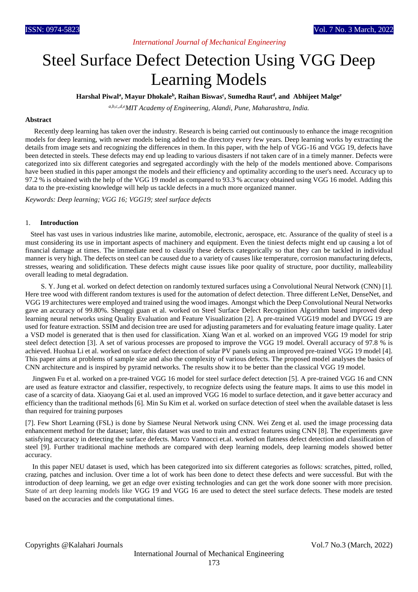# *International Journal of Mechanical Engineering*

# Steel Surface Defect Detection Using VGG Deep Learning Models

**Harshal Piwal<sup>a</sup> , Mayur Dhokale<sup>b</sup> , Raihan Biswas<sup>c</sup> , Sumedha Raut<sup>d</sup> , and Abhijeet Malge<sup>e</sup>**

*a,b,c,,d,eMIT Academy of Engineering, Alandi, Pune, Maharashtra, India.*

#### **Abstract**

 Recently deep learning has taken over the industry. Research is being carried out continuously to enhance the image recognition models for deep learning, with newer models being added to the directory every few years. Deep learning works by extracting the details from image sets and recognizing the differences in them. In this paper, with the help of VGG-16 and VGG 19, defects have been detected in steels. These defects may end up leading to various disasters if not taken care of in a timely manner. Defects were categorized into six different categories and segregated accordingly with the help of the models mentioned above. Comparisons have been studied in this paper amongst the models and their efficiency and optimality according to the user's need. Accuracy up to 97.2 % is obtained with the help of the VGG 19 model as compared to 93.3 % accuracy obtained using VGG 16 model. Adding this data to the pre-existing knowledge will help us tackle defects in a much more organized manner.

*Keywords: Deep learning; VGG 16; VGG19; steel surface defects* 

#### 1. **Introduction**

 Steel has vast uses in various industries like marine, automobile, electronic, aerospace, etc. Assurance of the quality of steel is a must considering its use in important aspects of machinery and equipment. Even the tiniest defects might end up causing a lot of financial damage at times. The immediate need to classify these defects categorically so that they can be tackled in individual manner is very high. The defects on steel can be caused due to a variety of causes like temperature, corrosion manufacturing defects, stresses, wearing and solidification. These defects might cause issues like poor quality of structure, poor ductility, malleability overall leading to metal degradation.

 S. Y. Jung et al. worked on defect detection on randomly textured surfaces using a Convolutional Neural Network (CNN) [1]. Here tree wood with different random textures is used for the automation of defect detection. Three different LeNet, DenseNet, and VGG 19 architectures were employed and trained using the wood images. Amongst which the Deep Convolutional Neural Networks gave an accuracy of 99.80%. Shengqi guan et al. worked on Steel Surface Defect Recognition Algorithm based improved deep learning neural networks using Quality Evaluation and Feature Visualization [2]. A pre-trained VGG19 model and DVGG 19 are used for feature extraction. SSIM and decision tree are used for adjusting parameters and for evaluating feature image quality. Later a VSD model is generated that is then used for classification. Xiang Wan et al. worked on an improved VGG 19 model for strip steel defect detection [3]. A set of various processes are proposed to improve the VGG 19 model. Overall accuracy of 97.8 % is achieved. Huohua Li et al. worked on surface defect detection of solar PV panels using an improved pre-trained VGG 19 model [4]. This paper aims at problems of sample size and also the complexity of various defects. The proposed model analyses the basics of CNN architecture and is inspired by pyramid networks. The results show it to be better than the classical VGG 19 model.

 [Jingwen Fu](https://arxiv.org/search/cs?searchtype=author&query=Fu%2C+J) et al. worked on a pre-trained VGG 16 model for steel surface defect detection [5]. A pre-trained VGG 16 and CNN are used as feature extractor and classifier, respectively, to recognize defects using the feature maps. It aims to use this model in case of a scarcity of data. [Xiaoyang Gai](https://ieeexplore.ieee.org/author/37088442918) et al. used an improved VGG 16 model to surface detection, and it gave better accuracy and efficiency than the traditional methods [6][. Min Su Kim](https://ieeexplore.ieee.org/author/37085744572) et al. worked on surface detection of steel when the available dataset is less than required for training purposes

[7]. Few Short Learning (FSL) is done by Siamese Neural Network using CNN. [Wei Zeng](https://ieeexplore.ieee.org/author/37088221695) et al. used the image processing data enhancement method for the dataset; later, this dataset was used to train and extract features using CNN [8]. The experiments gave satisfying accuracy in detecting the surface defects. Marco Vannocci et.al. worked on flatness defect detection and classification of steel [9]. Further traditional machine methods are compared with deep learning models, deep learning models showed better accuracy.

 In this paper NEU dataset is used, which has been categorized into six different categories as follows: scratches, pitted, rolled, crazing, patches and inclusion. Over time a lot of work has been done to detect these defects and were successful. But with the introduction of deep learning, we get an edge over existing technologies and can get the work done sooner with more precision. State of art deep learning models like VGG 19 and VGG 16 are used to detect the steel surface defects. These models are tested based on the accuracies and the computational times.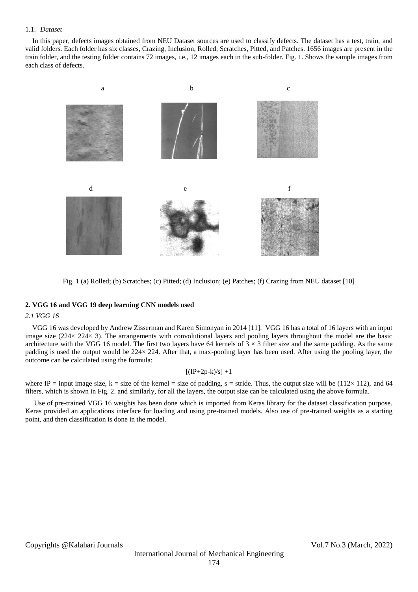#### 1.1. *Dataset*

 In this paper, defects images obtained from NEU Dataset sources are used to classify defects. The dataset has a test, train, and valid folders. Each folder has six classes, Crazing, Inclusion, Rolled, Scratches, Pitted, and Patches. 1656 images are present in the train folder, and the testing folder contains 72 images, i.e., 12 images each in the sub-folder. Fig. 1. Shows the sample images from each class of defects.



Fig. 1 (a) Rolled; (b) Scratches; (c) Pitted; (d) Inclusion; (e) Patches; (f) Crazing from NEU dataset [10]

### **2. VGG 16 and VGG 19 deep learning CNN models used**

#### *2.1 VGG 16*

 VGG 16 was developed by Andrew Zisserman and Karen Simonyan in 2014 [11]. VGG 16 has a total of 16 layers with an input image size (224× 224× 3). The arrangements with convolutional layers and pooling layers throughout the model are the basic architecture with the VGG 16 model. The first two layers have 64 kernels of  $3 \times 3$  filter size and the same padding. As the same padding is used the output would be 224× 224. After that, a max-pooling layer has been used. After using the pooling layer, the outcome can be calculated using the formula:

#### $[(IP+2p-k)/s]+1$

where IP = input image size,  $k = size$  of the kernel = size of padding, s = stride. Thus, the output size will be (112× 112), and 64 filters, which is shown in Fig. 2. and similarly, for all the layers, the output size can be calculated using the above formula.

 Use of pre-trained VGG 16 weights has been done which is imported from Keras library for the dataset classification purpose. Keras provided an applications interface for loading and using pre-trained models. Also use of pre-trained weights as a starting point, and then classification is done in the model.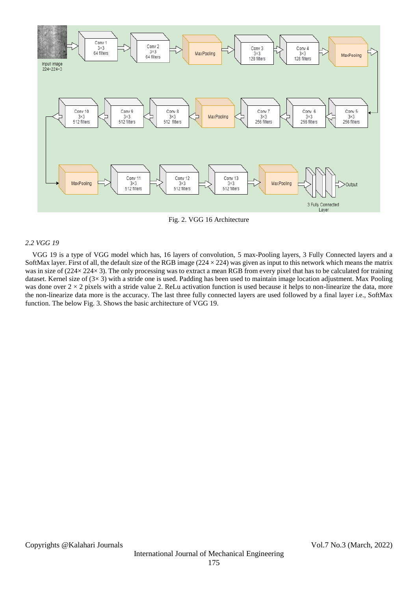

Fig. 2. VGG 16 Architecture

#### *2.2 VGG 19*

 VGG 19 is a type of VGG model which has, 16 layers of convolution, 5 max-Pooling layers, 3 Fully Connected layers and a SoftMax layer. First of all, the default size of the RGB image  $(224 \times 224)$  was given as input to this network which means the matrix was in size of (224× 224× 3). The only processing was to extract a mean RGB from every pixel that has to be calculated for training dataset. Kernel size of  $(3\times 3)$  with a stride one is used. Padding has been used to maintain image location adjustment. Max Pooling was done over  $2 \times 2$  pixels with a stride value 2. ReLu activation function is used because it helps to non-linearize the data, more the non-linearize data more is the accuracy. The last three fully connected layers are used followed by a final layer i.e., SoftMax function. The below Fig. 3. Shows the basic architecture of VGG 19.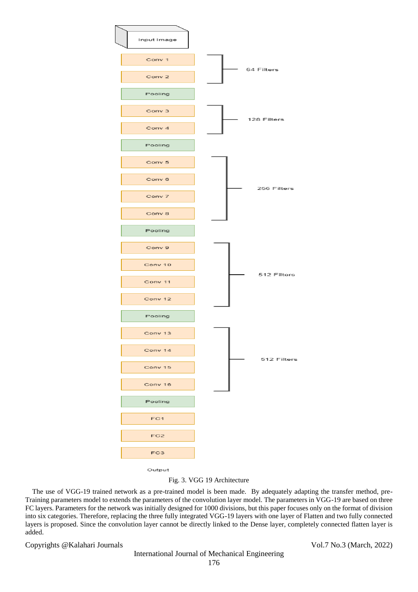

Output

## Fig. 3. VGG 19 Architecture

 The use of VGG-19 trained network as a pre-trained model is been made. By adequately adapting the transfer method, pre-Training parameters model to extends the parameters of the convolution layer model. The parameters in VGG-19 are based on three FC layers. Parameters for the network was initially designed for 1000 divisions, but this paper focuses only on the format of division into six categories. Therefore, replacing the three fully integrated VGG-19 layers with one layer of Flatten and two fully connected layers is proposed. Since the convolution layer cannot be directly linked to the Dense layer, completely connected flatten layer is added.

Copyrights @Kalahari Journals Vol.7 No.3 (March, 2022)

# International Journal of Mechanical Engineering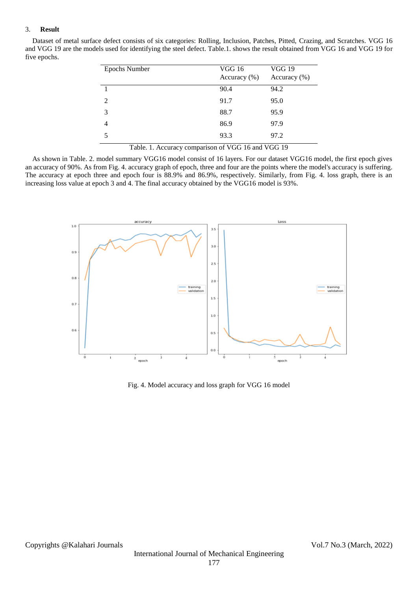#### 3. **Result**

 Dataset of metal surface defect consists of six categories: Rolling, Inclusion, Patches, Pitted, Crazing, and Scratches. VGG 16 and VGG 19 are the models used for identifying the steel defect. Table.1. shows the result obtained from VGG 16 and VGG 19 for five epochs.

| <b>Epochs Number</b> | <b>VGG 16</b><br>Accuracy $(\% )$ | <b>VGG 19</b><br>Accuracy $(\%)$ |
|----------------------|-----------------------------------|----------------------------------|
|                      | 90.4                              | 94.2                             |
| $\mathcal{L}$        | 91.7                              | 95.0                             |
| 3                    | 88.7                              | 95.9                             |
|                      | 86.9                              | 97.9                             |
|                      | 93.3                              | 97.2                             |

Table. 1. Accuracy comparison of VGG 16 and VGG 19

 As shown in Table. 2. model summary VGG16 model consist of 16 layers. For our dataset VGG16 model, the first epoch gives an accuracy of 90%. As from Fig. 4. accuracy graph of epoch, three and four are the points where the model's accuracy is suffering. The accuracy at epoch three and epoch four is 88.9% and 86.9%, respectively. Similarly, from Fig. 4. loss graph, there is an increasing loss value at epoch 3 and 4. The final accuracy obtained by the VGG16 model is 93%.



Fig. 4. Model accuracy and loss graph for VGG 16 model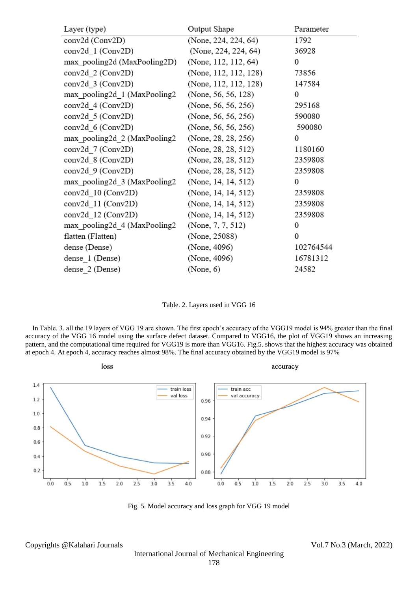| Layer (type)                 | Output Shape          | Parameter |
|------------------------------|-----------------------|-----------|
| conv2d (Conv2D)              | (None, 224, 224, 64)  | 1792      |
| conv2d_1 (Conv2D)            | (None, 224, 224, 64)  | 36928     |
| max pooling2d (MaxPooling2D) | (None, 112, 112, 64)  | 0         |
| conv2d 2 (Conv2D)            | (None, 112, 112, 128) | 73856     |
| conv2d 3 (Conv2D)            | (None, 112, 112, 128) | 147584    |
| max_pooling2d_1 (MaxPooling2 | (None, 56, 56, 128)   | 0         |
| conv2d_4 (Conv2D)            | (None, 56, 56, 256)   | 295168    |
| conv2d 5 (Conv2D)            | (None, 56, 56, 256)   | 590080    |
| conv2d 6 (Conv2D)            | (None, 56, 56, 256)   | 590080    |
| max_pooling2d_2 (MaxPooling2 | (None, 28, 28, 256)   | 0         |
| conv2d 7 (Conv2D)            | (None, 28, 28, 512)   | 1180160   |
| conv2d_8 (Conv2D)            | (None, 28, 28, 512)   | 2359808   |
| conv2d_9 (Conv2D)            | (None, 28, 28, 512)   | 2359808   |
| max_pooling2d_3 (MaxPooling2 | (None, 14, 14, 512)   | 0         |
| conv2d_10 (Conv2D)           | (None, 14, 14, 512)   | 2359808   |
| conv2d 11 (Conv2D)           | (None, 14, 14, 512)   | 2359808   |
| conv2d 12 (Conv2D)           | (None, 14, 14, 512)   | 2359808   |
| max_pooling2d_4 (MaxPooling2 | (None, $7, 7, 512$ )  | 0         |
| flatten (Flatten)            | (None, 25088)         | 0         |
| dense (Dense)                | (None, 4096)          | 102764544 |
| dense 1 (Dense)              | (None, 4096)          | 16781312  |
| dense 2 (Dense)              | (None, 6)             | 24582     |

Table. 2. Layers used in VGG 16

 In Table. 3. all the 19 layers of VGG 19 are shown. The first epoch's accuracy of the VGG19 model is 94% greater than the final accuracy of the VGG 16 model using the surface defect dataset. Compared to VGG16, the plot of VGG19 shows an increasing pattern, and the computational time required for VGG19 is more than VGG16. Fig.5. shows that the highest accuracy was obtained at epoch 4. At epoch 4, accuracy reaches almost 98%. The final accuracy obtained by the VGG19 model is 97%



Fig. 5. Model accuracy and loss graph for VGG 19 model

Copyrights @Kalahari Journals Vol.7 No.3 (March, 2022)

International Journal of Mechanical Engineering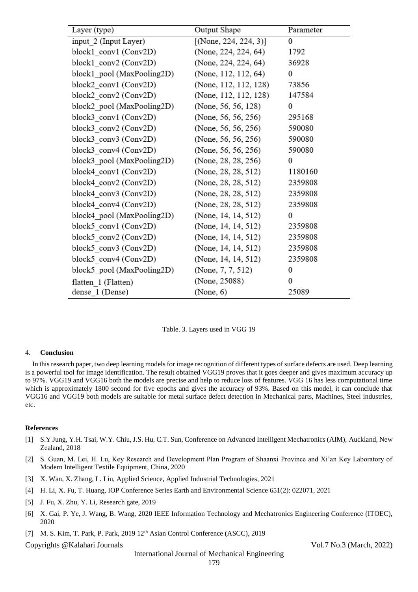| Layer (type)               | Output Shape             | Parameter        |
|----------------------------|--------------------------|------------------|
| input 2 (Input Layer)      | $[$ (None, 224, 224, 3)] | $\boldsymbol{0}$ |
| block1 conv1 (Conv2D)      | (None, 224, 224, 64)     | 1792             |
| block1_conv2 (Conv2D)      | (None, 224, 224, 64)     | 36928            |
| block1 pool (MaxPooling2D) | (None, 112, 112, 64)     | 0                |
| block2 conv1 (Conv2D)      | (None, 112, 112, 128)    | 73856            |
| block2_conv2 (Conv2D)      | (None, 112, 112, 128)    | 147584           |
| block2_pool (MaxPooling2D) | (None, 56, 56, 128)      | 0                |
| block3_conv1 (Conv2D)      | (None, 56, 56, 256)      | 295168           |
| block3 conv2 (Conv2D)      | (None, 56, 56, 256)      | 590080           |
| block3 conv3 (Conv2D)      | (None, 56, 56, 256)      | 590080           |
| block3 conv4 (Conv2D)      | (None, 56, 56, 256)      | 590080           |
| block3_pool (MaxPooling2D) | (None, 28, 28, 256)      | 0                |
| block4_conv1 (Conv2D)      | (None, 28, 28, 512)      | 1180160          |
| block4_conv2 (Conv2D)      | (None, 28, 28, 512)      | 2359808          |
| block4_conv3 (Conv2D)      | (None, 28, 28, 512)      | 2359808          |
| block4 conv4 (Conv2D)      | (None, 28, 28, 512)      | 2359808          |
| block4 pool (MaxPooling2D) | (None, 14, 14, 512)      | 0                |
| block5_conv1 (Conv2D)      | (None, 14, 14, 512)      | 2359808          |
| block5_conv2 (Conv2D)      | (None, 14, 14, 512)      | 2359808          |
| block5 conv3 (Conv2D)      | (None, 14, 14, 512)      | 2359808          |
| block5 conv4 (Conv2D)      | (None, 14, 14, 512)      | 2359808          |
| block5 pool (MaxPooling2D) | (None, $7, 7, 512$ )     | 0                |
| flatten 1 (Flatten)        | (None, 25088)            | 0                |
| dense_1 (Dense)            | (None, 6)                | 25089            |

Table. 3. Layers used in VGG 19

#### 4. **Conclusion**

 In this research paper, two deep learning models for image recognition of different types of surface defects are used. Deep learning is a powerful tool for image identification. The result obtained VGG19 proves that it goes deeper and gives maximum accuracy up to 97%. VGG19 and VGG16 both the models are precise and help to reduce loss of features. VGG 16 has less computational time which is approximately 1800 second for five epochs and gives the accuracy of 93%. Based on this model, it can conclude that VGG16 and VGG19 both models are suitable for metal surface defect detection in Mechanical parts, Machines, Steel industries, etc.

#### **References**

- [1] S.Y Jung, Y.H. Tsai, W.Y. Chiu, J.S. Hu, C.T. Sun, Conference on Advanced Intelligent Mechatronics (AIM), Auckland, New Zealand, 2018
- [2] S. Guan, M. Lei, H. Lu, Key Research and Development Plan Program of Shaanxi Province and Xi'an Key Laboratory of Modern Intelligent Textile Equipment, China, 2020
- [3] X. Wan, X. Zhang, L. Liu, Applied Science, Applied Industrial Technologies, 2021
- [4] H. Li, X. Fu, T. Huang, IOP Conference Series Earth and Environmental Science 651(2): 022071, 2021
- [5] J. Fu, X. Zhu, Y. Li, Research gate, 2019
- [6] X. Gai, P. Ye, J. Wang, B. Wang, 2020 IEEE Information Technology and Mechatronics Engineering Conference (ITOEC), 2020
- [7] M. S. Kim, T. Park, P. Park, 2019 12<sup>th</sup> Asian Control Conference (ASCC), 2019

Copyrights @Kalahari Journals Vol.7 No.3 (March, 2022)